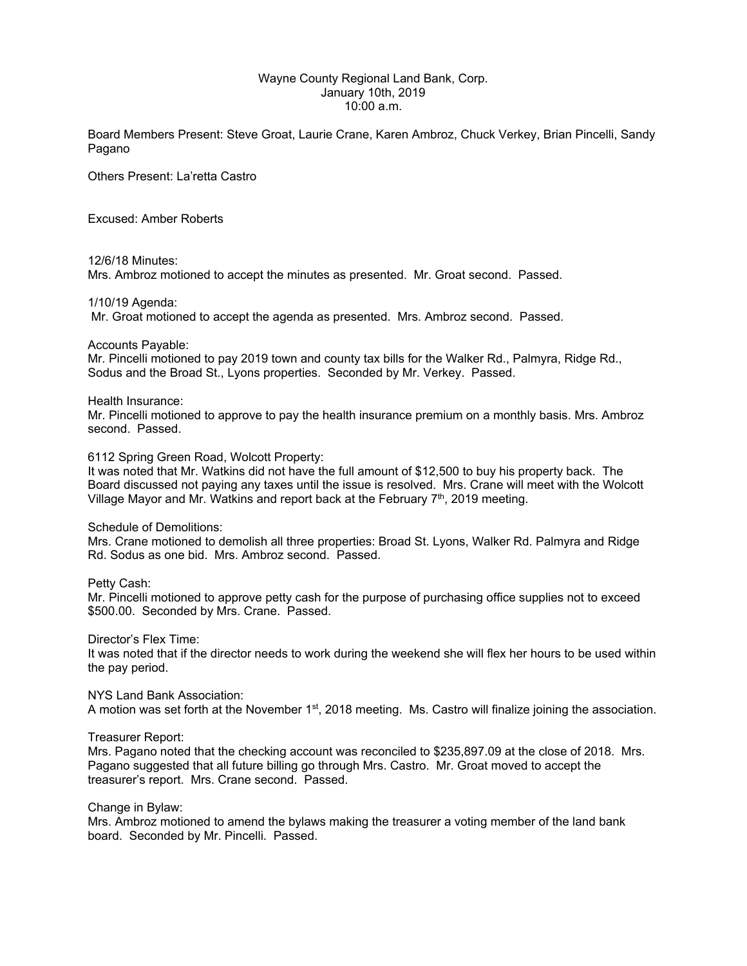# Wayne County Regional Land Bank, Corp. January 10th, 2019 10:00 a.m.

Board Members Present: Steve Groat, Laurie Crane, Karen Ambroz, Chuck Verkey, Brian Pincelli, Sandy Pagano

Others Present: La'retta Castro

Excused: Amber Roberts

#### 12/6/18 Minutes:

Mrs. Ambroz motioned to accept the minutes as presented. Mr. Groat second. Passed.

## 1/10/19 Agenda:

Mr. Groat motioned to accept the agenda as presented. Mrs. Ambroz second. Passed.

Accounts Payable:

Mr. Pincelli motioned to pay 2019 town and county tax bills for the Walker Rd., Palmyra, Ridge Rd., Sodus and the Broad St., Lyons properties. Seconded by Mr. Verkey. Passed.

#### Health Insurance:

Mr. Pincelli motioned to approve to pay the health insurance premium on a monthly basis. Mrs. Ambroz second. Passed.

## 6112 Spring Green Road, Wolcott Property:

It was noted that Mr. Watkins did not have the full amount of \$12,500 to buy his property back. The Board discussed not paying any taxes until the issue is resolved. Mrs. Crane will meet with the Wolcott Village Mayor and Mr. Watkins and report back at the February  $7<sup>th</sup>$ , 2019 meeting.

#### Schedule of Demolitions:

Mrs. Crane motioned to demolish all three properties: Broad St. Lyons, Walker Rd. Palmyra and Ridge Rd. Sodus as one bid. Mrs. Ambroz second. Passed.

Petty Cash:

Mr. Pincelli motioned to approve petty cash for the purpose of purchasing office supplies not to exceed \$500.00. Seconded by Mrs. Crane. Passed.

Director's Flex Time:

It was noted that if the director needs to work during the weekend she will flex her hours to be used within the pay period.

NYS Land Bank Association:

A motion was set forth at the November  $1<sup>st</sup>$ , 2018 meeting. Ms. Castro will finalize joining the association.

### Treasurer Report:

Mrs. Pagano noted that the checking account was reconciled to \$235,897.09 at the close of 2018. Mrs. Pagano suggested that all future billing go through Mrs. Castro. Mr. Groat moved to accept the treasurer's report. Mrs. Crane second. Passed.

Change in Bylaw:

Mrs. Ambroz motioned to amend the bylaws making the treasurer a voting member of the land bank board. Seconded by Mr. Pincelli. Passed.